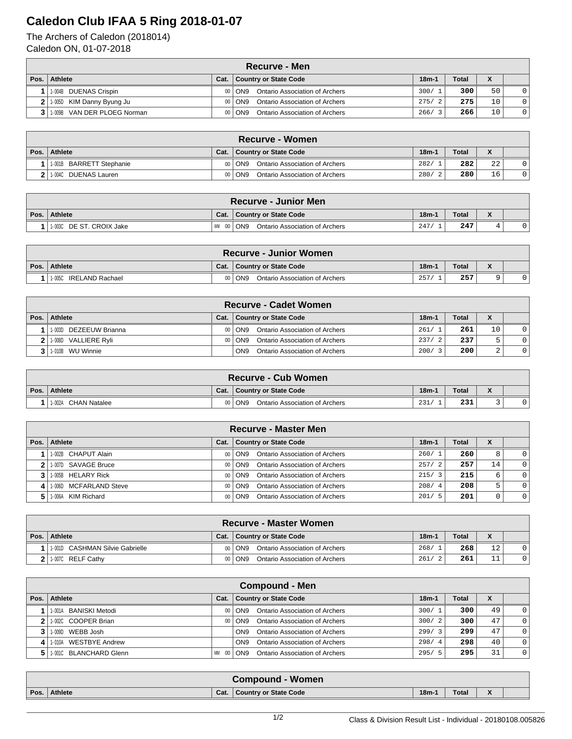## **Caledon Club IFAA 5 Ring 2018-01-07**

The Archers of Caledon (2018014) Caledon ON, 01-07-2018

|      | Recurve - Men                   |      |                                              |         |       |    |              |  |  |  |  |  |
|------|---------------------------------|------|----------------------------------------------|---------|-------|----|--------------|--|--|--|--|--|
| Pos. | Athlete                         | Cat. | <b>Country or State Code</b>                 | $18m-1$ | Total |    |              |  |  |  |  |  |
|      | 1-004B DUENAS Crispin           |      | Ontario Association of Archers<br>00   ON9   | 300/1   | 300   | 50 | $\Omega$     |  |  |  |  |  |
|      | $2$   1-005D KIM Danny Byung Ju |      | Ontario Association of Archers<br>00   ON9   | 275/2   | 275   | 10 | $\Omega$     |  |  |  |  |  |
|      | 3 1 1 009B VAN DER PLOEG Norman |      | Ontario Association of Archers<br>$00  $ ON9 | 266/3   | 266   | 10 | $\mathbf{0}$ |  |  |  |  |  |

| ∖Recurve - Women         |      |                                          |         |       |                 |   |  |  |  |  |
|--------------------------|------|------------------------------------------|---------|-------|-----------------|---|--|--|--|--|
| Pos.   Athlete           | Cat. | Country or State Code                    | $18m-1$ | Total |                 |   |  |  |  |  |
| 1.001B BARRETT Stephanie |      | Ontario Association of Archers<br>00 ON9 | 282/    | 282   | 22              | 0 |  |  |  |  |
| 2 1.004C DUENAS Lauren   |      | Ontario Association of Archers<br>00 ON9 | 280/2   | 280   | 16 <sub>1</sub> | 0 |  |  |  |  |

| <b>Recurve - Junior Men</b> |             |                                |         |       |  |  |  |  |  |  |
|-----------------------------|-------------|--------------------------------|---------|-------|--|--|--|--|--|--|
| Pos. Athlete                | Cat.        | <b>Country or State Code</b>   | $18m-1$ | Total |  |  |  |  |  |  |
| 11-003C DE ST. CROIX Jake   | WM 00   ON9 | Ontario Association of Archers | 247/    | 247   |  |  |  |  |  |  |

| <b>Recurve - Junior Women</b> |      |                                       |         |              |                              |  |  |  |  |  |
|-------------------------------|------|---------------------------------------|---------|--------------|------------------------------|--|--|--|--|--|
| Pos. Athlete                  | Cat. | <b>Country or State Code</b>          | $18m-1$ | <b>Total</b> | $\mathbf{v}$<br>$\mathbf{v}$ |  |  |  |  |  |
| 1-005C IRELAND Rachael        |      | ON9<br>Ontario Association of Archers | 257     | 257          |                              |  |  |  |  |  |

| <b>Recurve - Cadet Women</b> |      |                                                   |       |              |                   |  |  |  |  |  |  |
|------------------------------|------|---------------------------------------------------|-------|--------------|-------------------|--|--|--|--|--|--|
| Pos.   Athlete               | Cat. | Country or State Code                             | 18m-1 | <b>Total</b> | $\mathbf{v}$<br>́ |  |  |  |  |  |  |
| 1-003D DEZEEUW Brianna       |      | Ontario Association of Archers<br>00   ON9        | 261/1 | 261          | 10                |  |  |  |  |  |  |
| 11-008D VALLIERE RvIi        |      | Ontario Association of Archers<br>$00  $ ON9      | 237/  | 237          | $\mathbf{r}$      |  |  |  |  |  |  |
| 11-010B WU Winnie            |      | Ontario Association of Archers<br>ON <sub>9</sub> | 200/  | 200          |                   |  |  |  |  |  |  |

| <b>Recurve - Cub Women</b> |      |                                            |         |       |  |  |  |  |  |  |
|----------------------------|------|--------------------------------------------|---------|-------|--|--|--|--|--|--|
| Pos. Athlete               | Cat. | <b>Country or State Code</b>               | $18m-1$ | Total |  |  |  |  |  |  |
| CHAN Natalee<br>1-002A     |      | Ontario Association of Archers<br>00   ON9 | 231     | 231   |  |  |  |  |  |  |

| <b>Recurve - Master Men</b> |      |                                              |             |       |         |          |  |  |  |  |  |
|-----------------------------|------|----------------------------------------------|-------------|-------|---------|----------|--|--|--|--|--|
| Pos. Athlete                | Cat. | <b>Country or State Code</b>                 | $18m-1$     | Total | Λ       |          |  |  |  |  |  |
| 1-002B CHAPUT Alain         |      | Ontario Association of Archers<br>$00  $ ON9 | 260/1       | 260   | 8       | $\Omega$ |  |  |  |  |  |
| 1.007D SAVAGE Bruce         |      | Ontario Association of Archers<br>00   ON9   | 257/<br>- 2 | 257   | $\pm 4$ | $\Omega$ |  |  |  |  |  |
| 1.005B HELARY Rick          |      | Ontario Association of Archers<br>00   ON9   | 215/3       | 215   | 6       | $\Omega$ |  |  |  |  |  |
| 1.006D MCFARLAND Steve      |      | Ontario Association of Archers<br>00   ON9   | 208/4       | 208   | 5       | $\Omega$ |  |  |  |  |  |
| 1.006A KIM Richard          |      | Ontario Association of Archers<br>00   ON9   | 201/<br>- 5 | 201   |         | $\Omega$ |  |  |  |  |  |

| Recurve - Master Women          |      |                                            |         |              |                                                        |  |  |  |  |  |
|---------------------------------|------|--------------------------------------------|---------|--------------|--------------------------------------------------------|--|--|--|--|--|
| Pos.   Athlete                  | Cat. | Country or State Code                      | $18m-1$ | <b>Total</b> | $\overline{\phantom{a}}$<br>$\boldsymbol{\mathcal{L}}$ |  |  |  |  |  |
| 1.001D CASHMAN Silvie Gabrielle |      | Ontario Association of Archers<br>00   ON9 | 268/    | 268          | 12                                                     |  |  |  |  |  |
| 1.007C RELF Cathy               |      | 00   ON9<br>Ontario Association of Archers | 261/    | 261          |                                                        |  |  |  |  |  |

|      | <b>Compound - Men</b>             |                       |                                                   |         |       |    |          |  |  |  |  |  |  |
|------|-----------------------------------|-----------------------|---------------------------------------------------|---------|-------|----|----------|--|--|--|--|--|--|
| Pos. | Athlete                           | Cat.                  | Country or State Code                             | $18m-1$ | Total | X  |          |  |  |  |  |  |  |
|      | 1-001A BANISKI Metodi             | 00 <sub>1</sub>       | Ontario Association of Archers<br>ON9             | 300/1   | 300   | 49 | $\Omega$ |  |  |  |  |  |  |
|      | 2 1.002C COOPER Brian             | 00 <sub>1</sub>       | Ontario Association of Archers<br>ON <sub>9</sub> | 300/2   | 300   | 47 | $\Omega$ |  |  |  |  |  |  |
|      | 1.009D WEBB Josh                  |                       | Ontario Association of Archers<br>ON <sub>9</sub> | 299/3   | 299   | 47 | $\Omega$ |  |  |  |  |  |  |
| 41   | <b>WESTBYE Andrew</b><br>' 1-010A |                       | Ontario Association of Archers<br>ON <sub>9</sub> | 298/4   | 298   | 40 | $\Omega$ |  |  |  |  |  |  |
|      | 1.0010 BLANCHARD Glenn            | 00 <sub>1</sub><br>MМ | Ontario Association of Archers<br>ON <sub>9</sub> | 295/5   | 295   | 31 | $\Omega$ |  |  |  |  |  |  |

|      | <b>Compound - Women</b> |      |                       |         |              |  |  |  |  |  |
|------|-------------------------|------|-----------------------|---------|--------------|--|--|--|--|--|
| Pos. | Athlete                 | Cat. | Country or State Code | $18m -$ | <b>Total</b> |  |  |  |  |  |